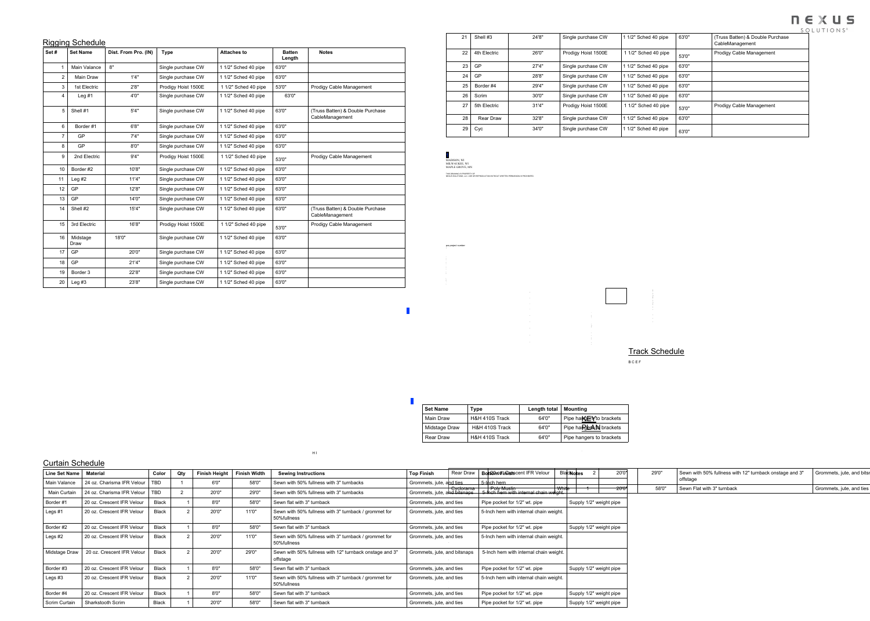## Rigging Schedule

| $\overline{\phantom{a}}$<br>Set# | <b>Set Name</b>  | Dist. From Pro. (IN) | <b>Type</b>         | <b>Attaches to</b>   | <b>Batten</b><br>Length | <b>Notes</b>                                        |
|----------------------------------|------------------|----------------------|---------------------|----------------------|-------------------------|-----------------------------------------------------|
|                                  | Main Valance     | 8"                   | Single purchase CW  | 1 1/2" Sched 40 pipe | 63'0"                   |                                                     |
| 2 <sup>1</sup>                   | <b>Main Draw</b> | 1'4''                | Single purchase CW  | 1 1/2" Sched 40 pipe | 63'0"                   |                                                     |
| 3 <sup>1</sup>                   | 1st Electric     | 2'8''                | Prodigy Hoist 1500E | 1 1/2" Sched 40 pipe | 53'0"                   | <b>Prodigy Cable Management</b>                     |
| 4                                | Leg $#1$         | 4'0''                | Single purchase CW  | 1 1/2" Sched 40 pipe | 63'0"                   |                                                     |
| 5                                | Shell #1         | 5'4"                 | Single purchase CW  | 1 1/2" Sched 40 pipe | 63'0"                   | (Truss Batten) & Double Purchase<br>CableManagement |
| 6                                | Border #1        | 6'8''                | Single purchase CW  | 1 1/2" Sched 40 pipe | 63'0"                   |                                                     |
| $\overline{7}$                   | <b>GP</b>        | 7'4''                | Single purchase CW  | 1 1/2" Sched 40 pipe | 63'0"                   |                                                     |
| 8                                | <b>GP</b>        | 8'0"                 | Single purchase CW  | 1 1/2" Sched 40 pipe | 63'0"                   |                                                     |
| 9                                | 2nd Electric     | 9'4''                | Prodigy Hoist 1500E | 1 1/2" Sched 40 pipe | 53'0"                   | <b>Prodigy Cable Management</b>                     |
| 10                               | Border #2        | 10'8"                | Single purchase CW  | 1 1/2" Sched 40 pipe | 63'0"                   |                                                     |
| 11                               | Leg $#2$         | 11'4"                | Single purchase CW  | 1 1/2" Sched 40 pipe | 63'0"                   |                                                     |
| 12                               | GP               | 12'8"                | Single purchase CW  | 1 1/2" Sched 40 pipe | 63'0"                   |                                                     |
| 13                               | GP               | 14'0"                | Single purchase CW  | 1 1/2" Sched 40 pipe | 63'0"                   |                                                     |
| 14                               | Shell #2         | 15'4"                | Single purchase CW  | 1 1/2" Sched 40 pipe | 63'0"                   | (Truss Batten) & Double Purchase<br>CableManagement |
| 15                               | 3rd Electric     | 16'8"                | Prodigy Hoist 1500E | 1 1/2" Sched 40 pipe | 53'0"                   | <b>Prodigy Cable Management</b>                     |
| 16                               | Midstage<br>Draw | 18'0"                | Single purchase CW  | 1 1/2" Sched 40 pipe | 63'0"                   |                                                     |
| 17                               | GP               | 20'0"                | Single purchase CW  | 1 1/2" Sched 40 pipe | 63'0"                   |                                                     |
| 18                               | GP               | 21'4"                | Single purchase CW  | 1 1/2" Sched 40 pipe | 63'0"                   |                                                     |
| 19                               | Border 3         | 22'8"                | Single purchase CW  | 1 1/2" Sched 40 pipe | 63'0"                   |                                                     |
| 20                               | Leg $#3$         | 23'8"                | Single purchase CW  | 1 1/2" Sched 40 pipe | 63'0"                   |                                                     |